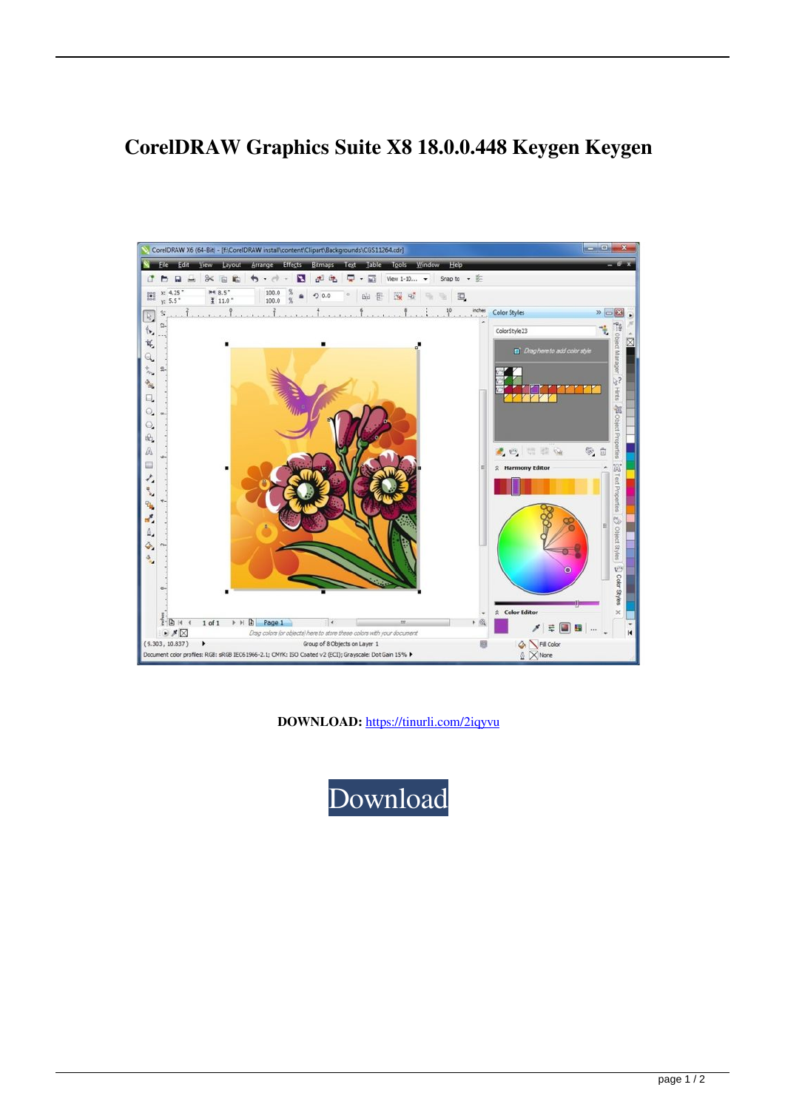## **CorelDRAW Graphics Suite X8 18.0.0.448 Keygen Keygen**



**DOWNLOAD:** <https://tinurli.com/2iqyvu>